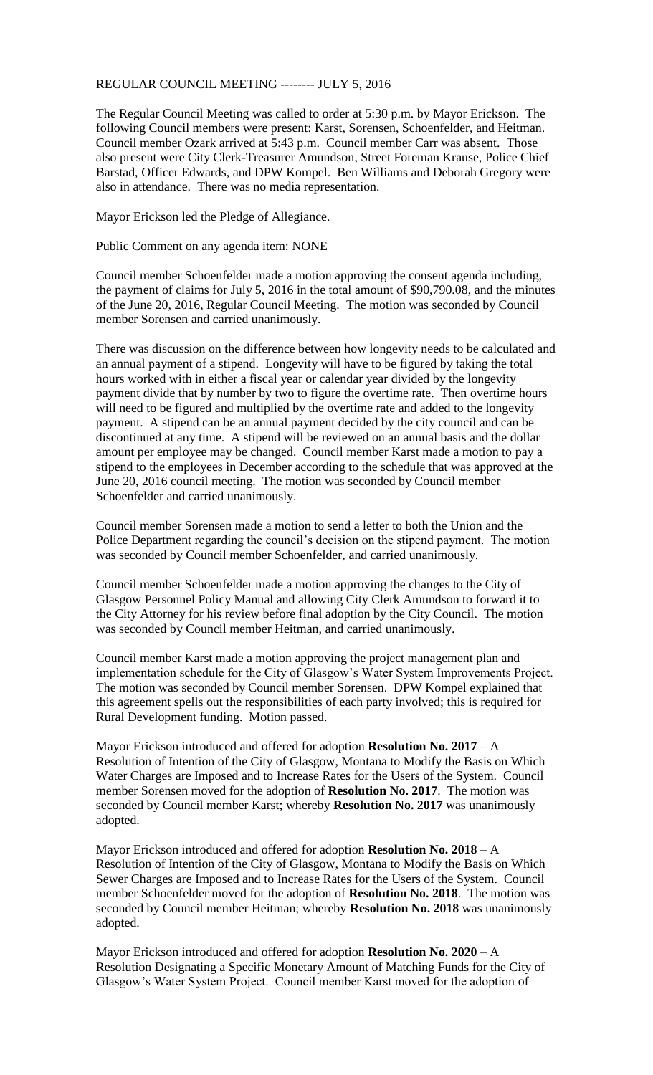## REGULAR COUNCIL MEETING -------- JULY 5, 2016

The Regular Council Meeting was called to order at 5:30 p.m. by Mayor Erickson. The following Council members were present: Karst, Sorensen, Schoenfelder, and Heitman. Council member Ozark arrived at 5:43 p.m. Council member Carr was absent. Those also present were City Clerk-Treasurer Amundson, Street Foreman Krause, Police Chief Barstad, Officer Edwards, and DPW Kompel. Ben Williams and Deborah Gregory were also in attendance. There was no media representation.

Mayor Erickson led the Pledge of Allegiance.

Public Comment on any agenda item: NONE

Council member Schoenfelder made a motion approving the consent agenda including, the payment of claims for July 5, 2016 in the total amount of \$90,790.08, and the minutes of the June 20, 2016, Regular Council Meeting. The motion was seconded by Council member Sorensen and carried unanimously.

There was discussion on the difference between how longevity needs to be calculated and an annual payment of a stipend. Longevity will have to be figured by taking the total hours worked with in either a fiscal year or calendar year divided by the longevity payment divide that by number by two to figure the overtime rate. Then overtime hours will need to be figured and multiplied by the overtime rate and added to the longevity payment. A stipend can be an annual payment decided by the city council and can be discontinued at any time. A stipend will be reviewed on an annual basis and the dollar amount per employee may be changed. Council member Karst made a motion to pay a stipend to the employees in December according to the schedule that was approved at the June 20, 2016 council meeting. The motion was seconded by Council member Schoenfelder and carried unanimously.

Council member Sorensen made a motion to send a letter to both the Union and the Police Department regarding the council's decision on the stipend payment. The motion was seconded by Council member Schoenfelder, and carried unanimously.

Council member Schoenfelder made a motion approving the changes to the City of Glasgow Personnel Policy Manual and allowing City Clerk Amundson to forward it to the City Attorney for his review before final adoption by the City Council. The motion was seconded by Council member Heitman, and carried unanimously.

Council member Karst made a motion approving the project management plan and implementation schedule for the City of Glasgow's Water System Improvements Project. The motion was seconded by Council member Sorensen. DPW Kompel explained that this agreement spells out the responsibilities of each party involved; this is required for Rural Development funding. Motion passed.

Mayor Erickson introduced and offered for adoption **Resolution No. 2017** – A Resolution of Intention of the City of Glasgow, Montana to Modify the Basis on Which Water Charges are Imposed and to Increase Rates for the Users of the System. Council member Sorensen moved for the adoption of **Resolution No. 2017**. The motion was seconded by Council member Karst; whereby **Resolution No. 2017** was unanimously adopted.

Mayor Erickson introduced and offered for adoption **Resolution No. 2018** – A Resolution of Intention of the City of Glasgow, Montana to Modify the Basis on Which Sewer Charges are Imposed and to Increase Rates for the Users of the System. Council member Schoenfelder moved for the adoption of **Resolution No. 2018**. The motion was seconded by Council member Heitman; whereby **Resolution No. 2018** was unanimously adopted.

Mayor Erickson introduced and offered for adoption **Resolution No. 2020** – A Resolution Designating a Specific Monetary Amount of Matching Funds for the City of Glasgow's Water System Project. Council member Karst moved for the adoption of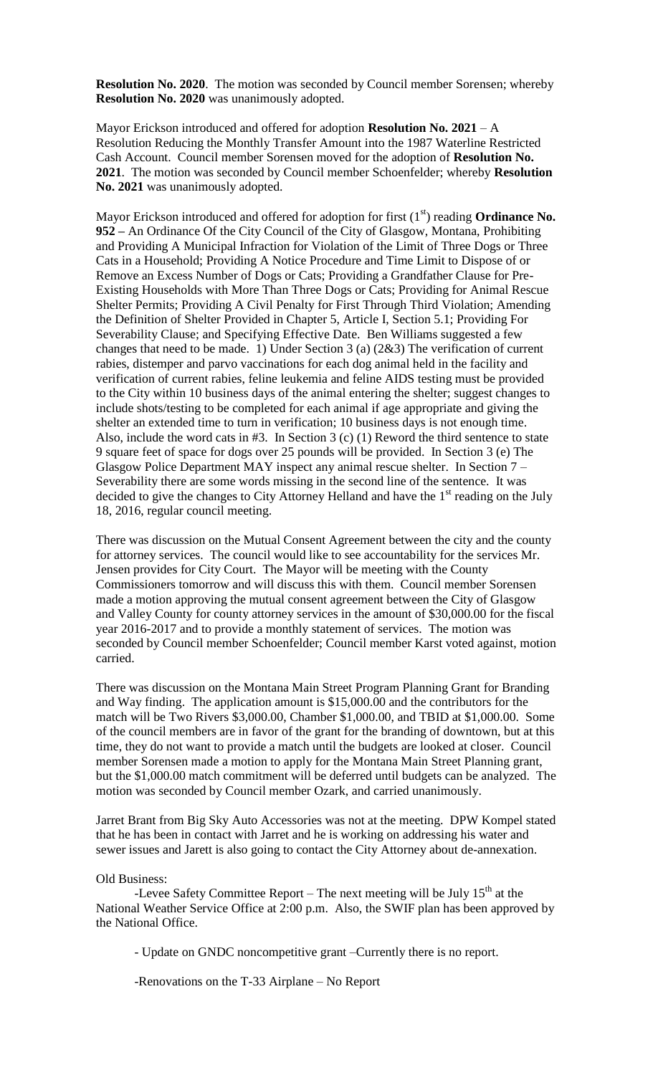**Resolution No. 2020**. The motion was seconded by Council member Sorensen; whereby **Resolution No. 2020** was unanimously adopted.

Mayor Erickson introduced and offered for adoption **Resolution No. 2021** – A Resolution Reducing the Monthly Transfer Amount into the 1987 Waterline Restricted Cash Account. Council member Sorensen moved for the adoption of **Resolution No. 2021**. The motion was seconded by Council member Schoenfelder; whereby **Resolution No. 2021** was unanimously adopted.

Mayor Erickson introduced and offered for adoption for first  $(1<sup>st</sup>)$  reading **Ordinance No. 952 –** An Ordinance Of the City Council of the City of Glasgow, Montana, Prohibiting and Providing A Municipal Infraction for Violation of the Limit of Three Dogs or Three Cats in a Household; Providing A Notice Procedure and Time Limit to Dispose of or Remove an Excess Number of Dogs or Cats; Providing a Grandfather Clause for Pre-Existing Households with More Than Three Dogs or Cats; Providing for Animal Rescue Shelter Permits; Providing A Civil Penalty for First Through Third Violation; Amending the Definition of Shelter Provided in Chapter 5, Article I, Section 5.1; Providing For Severability Clause; and Specifying Effective Date. Ben Williams suggested a few changes that need to be made. 1) Under Section 3 (a) (2&3) The verification of current rabies, distemper and parvo vaccinations for each dog animal held in the facility and verification of current rabies, feline leukemia and feline AIDS testing must be provided to the City within 10 business days of the animal entering the shelter; suggest changes to include shots/testing to be completed for each animal if age appropriate and giving the shelter an extended time to turn in verification; 10 business days is not enough time. Also, include the word cats in #3. In Section 3 (c) (1) Reword the third sentence to state 9 square feet of space for dogs over 25 pounds will be provided. In Section 3 (e) The Glasgow Police Department MAY inspect any animal rescue shelter. In Section 7 – Severability there are some words missing in the second line of the sentence. It was decided to give the changes to City Attorney Helland and have the  $1<sup>st</sup>$  reading on the July 18, 2016, regular council meeting.

There was discussion on the Mutual Consent Agreement between the city and the county for attorney services. The council would like to see accountability for the services Mr. Jensen provides for City Court. The Mayor will be meeting with the County Commissioners tomorrow and will discuss this with them. Council member Sorensen made a motion approving the mutual consent agreement between the City of Glasgow and Valley County for county attorney services in the amount of \$30,000.00 for the fiscal year 2016-2017 and to provide a monthly statement of services. The motion was seconded by Council member Schoenfelder; Council member Karst voted against, motion carried.

There was discussion on the Montana Main Street Program Planning Grant for Branding and Way finding. The application amount is \$15,000.00 and the contributors for the match will be Two Rivers \$3,000.00, Chamber \$1,000.00, and TBID at \$1,000.00. Some of the council members are in favor of the grant for the branding of downtown, but at this time, they do not want to provide a match until the budgets are looked at closer. Council member Sorensen made a motion to apply for the Montana Main Street Planning grant, but the \$1,000.00 match commitment will be deferred until budgets can be analyzed. The motion was seconded by Council member Ozark, and carried unanimously.

Jarret Brant from Big Sky Auto Accessories was not at the meeting. DPW Kompel stated that he has been in contact with Jarret and he is working on addressing his water and sewer issues and Jarett is also going to contact the City Attorney about de-annexation.

## Old Business:

-Levee Safety Committee Report – The next meeting will be July  $15<sup>th</sup>$  at the National Weather Service Office at 2:00 p.m. Also, the SWIF plan has been approved by the National Office.

- Update on GNDC noncompetitive grant –Currently there is no report.

-Renovations on the T-33 Airplane – No Report